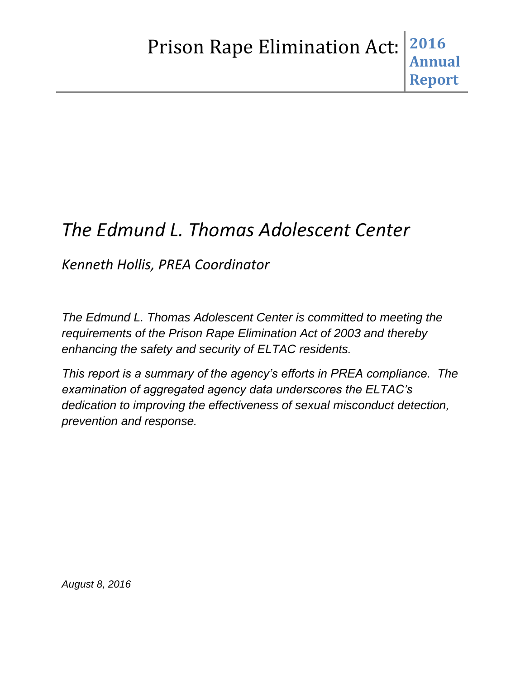# *The Edmund L. Thomas Adolescent Center*

*Kenneth Hollis, PREA Coordinator*

*The Edmund L. Thomas Adolescent Center is committed to meeting the requirements of the Prison Rape Elimination Act of 2003 and thereby enhancing the safety and security of ELTAC residents.*

*This report is a summary of the agency's efforts in PREA compliance. The examination of aggregated agency data underscores the ELTAC's dedication to improving the effectiveness of sexual misconduct detection, prevention and response.*

*August 8, 2016*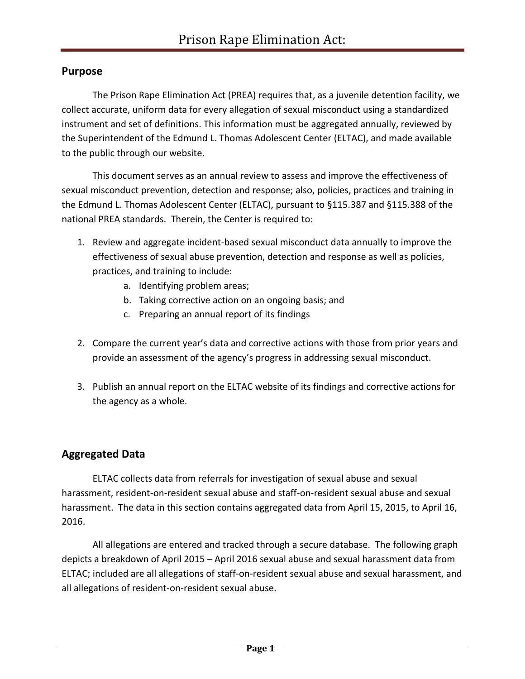# **Purpose**

The Prison Rape Elimination Act (PREA) requires that, as a juvenile detention facility, we collect accurate, uniform data for every allegation of sexual misconduct using a standardized instrument and set of definitions. This information must be aggregated annually, reviewed by the Superintendent of the Edmund L. Thomas Adolescent Center (ELTAC), and made available to the public through our website.

This document serves as an annual review to assess and improve the effectiveness of sexual misconduct prevention, detection and response; also, policies, practices and training in the Edmund L. Thomas Adolescent Center (ELTAC), pursuant to §115.387 and §115.388 of the national PREA standards. Therein, the Center is required to:

- 1. Review and aggregate incident-based sexual misconduct data annually to improve the effectiveness of sexual abuse prevention, detection and response as well as policies, practices, and training to include:
	- a. Identifying problem areas;
	- b. Taking corrective action on an ongoing basis; and
	- c. Preparing an annual report of its findings
- 2. Compare the current year's data and corrective actions with those from prior years and provide an assessment of the agency's progress in addressing sexual misconduct.
- 3. Publish an annual report on the ELTAC website of its findings and corrective actions for the agency as a whole.

# **Aggregated Data**

ELTAC collects data from referrals for investigation of sexual abuse and sexual harassment, resident-on-resident sexual abuse and staff-on-resident sexual abuse and sexual harassment. The data in this section contains aggregated data from April 15, 2015, to April 16, 2016.

All allegations are entered and tracked through a secure database. The following graph depicts a breakdown of April 2015 – April 2016 sexual abuse and sexual harassment data from ELTAC; included are all allegations of staff-on-resident sexual abuse and sexual harassment, and all allegations of resident-on-resident sexual abuse.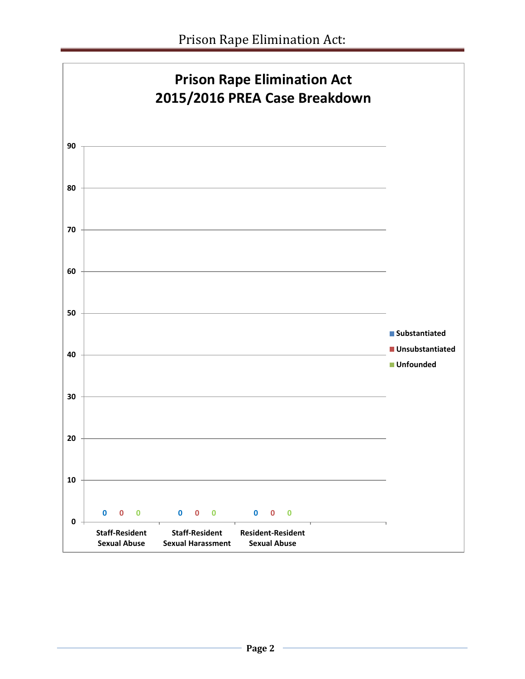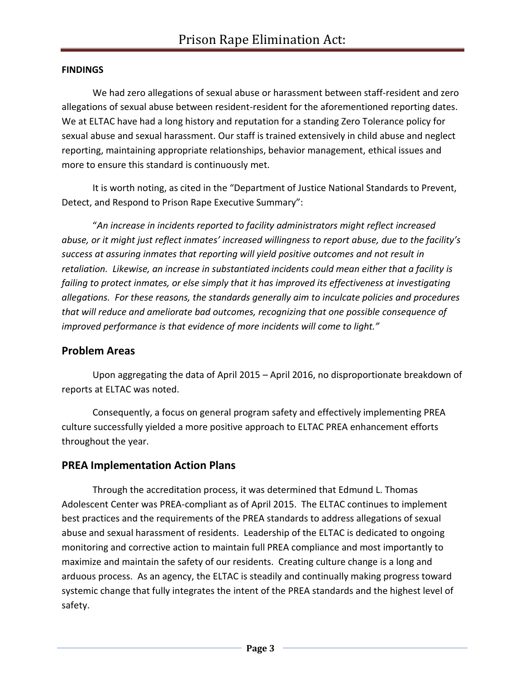#### **FINDINGS**

We had zero allegations of sexual abuse or harassment between staff-resident and zero allegations of sexual abuse between resident-resident for the aforementioned reporting dates. We at ELTAC have had a long history and reputation for a standing Zero Tolerance policy for sexual abuse and sexual harassment. Our staff is trained extensively in child abuse and neglect reporting, maintaining appropriate relationships, behavior management, ethical issues and more to ensure this standard is continuously met.

It is worth noting, as cited in the "Department of Justice National Standards to Prevent, Detect, and Respond to Prison Rape Executive Summary":

"*An increase in incidents reported to facility administrators might reflect increased abuse, or it might just reflect inmates' increased willingness to report abuse, due to the facility's success at assuring inmates that reporting will yield positive outcomes and not result in retaliation. Likewise, an increase in substantiated incidents could mean either that a facility is failing to protect inmates, or else simply that it has improved its effectiveness at investigating allegations. For these reasons, the standards generally aim to inculcate policies and procedures that will reduce and ameliorate bad outcomes, recognizing that one possible consequence of improved performance is that evidence of more incidents will come to light."*

#### **Problem Areas**

Upon aggregating the data of April 2015 – April 2016, no disproportionate breakdown of reports at ELTAC was noted.

Consequently, a focus on general program safety and effectively implementing PREA culture successfully yielded a more positive approach to ELTAC PREA enhancement efforts throughout the year.

## **PREA Implementation Action Plans**

Through the accreditation process, it was determined that Edmund L. Thomas Adolescent Center was PREA-compliant as of April 2015. The ELTAC continues to implement best practices and the requirements of the PREA standards to address allegations of sexual abuse and sexual harassment of residents. Leadership of the ELTAC is dedicated to ongoing monitoring and corrective action to maintain full PREA compliance and most importantly to maximize and maintain the safety of our residents. Creating culture change is a long and arduous process. As an agency, the ELTAC is steadily and continually making progress toward systemic change that fully integrates the intent of the PREA standards and the highest level of safety.